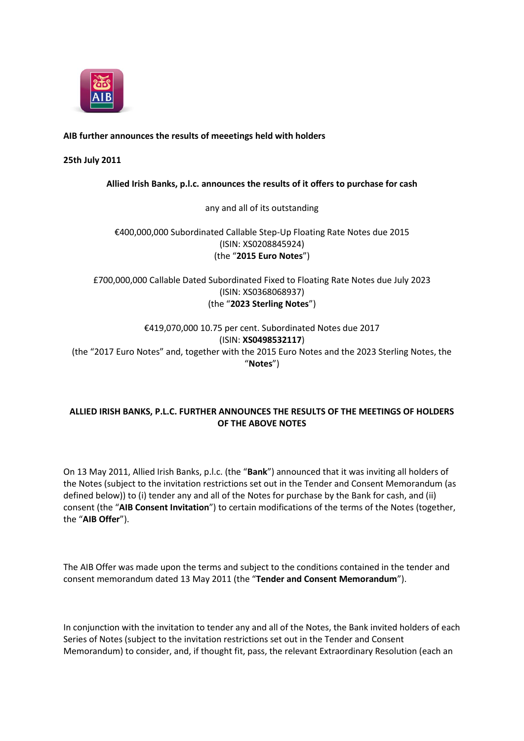

## **AIB further announces the results of meeetings held with holders**

## **25th July 2011**

## **Allied Irish Banks, p.l.c. announces the results of it offers to purchase for cash**

#### any and all of its outstanding

# €400,000,000 Subordinated Callable Step-Up Floating Rate Notes due 2015 (ISIN: XS0208845924) (the "**2015 Euro Notes**")

£700,000,000 Callable Dated Subordinated Fixed to Floating Rate Notes due July 2023 (ISIN: XS0368068937) (the "**2023 Sterling Notes**")

# €419,070,000 10.75 per cent. Subordinated Notes due 2017 (ISIN: **XS0498532117**) (the "2017 Euro Notes" and, together with the 2015 Euro Notes and the 2023 Sterling Notes, the "**Notes**")

## **ALLIED IRISH BANKS, P.L.C. FURTHER ANNOUNCES THE RESULTS OF THE MEETINGS OF HOLDERS OF THE ABOVE NOTES**

On 13 May 2011, Allied Irish Banks, p.l.c. (the "**Bank**") announced that it was inviting all holders of the Notes (subject to the invitation restrictions set out in the Tender and Consent Memorandum (as defined below)) to (i) tender any and all of the Notes for purchase by the Bank for cash, and (ii) consent (the "**AIB Consent Invitation**") to certain modifications of the terms of the Notes (together, the "**AIB Offer**").

The AIB Offer was made upon the terms and subject to the conditions contained in the tender and consent memorandum dated 13 May 2011 (the "**Tender and Consent Memorandum**").

In conjunction with the invitation to tender any and all of the Notes, the Bank invited holders of each Series of Notes (subject to the invitation restrictions set out in the Tender and Consent Memorandum) to consider, and, if thought fit, pass, the relevant Extraordinary Resolution (each an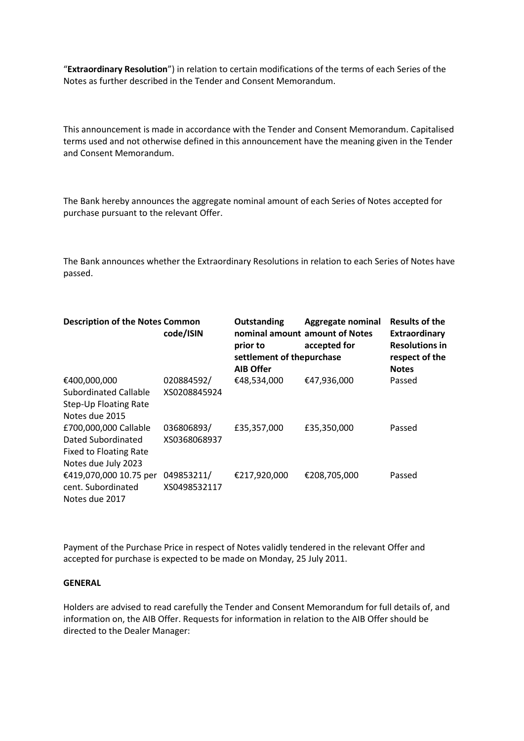"**Extraordinary Resolution**") in relation to certain modifications of the terms of each Series of the Notes as further described in the Tender and Consent Memorandum.

This announcement is made in accordance with the Tender and Consent Memorandum. Capitalised terms used and not otherwise defined in this announcement have the meaning given in the Tender and Consent Memorandum.

The Bank hereby announces the aggregate nominal amount of each Series of Notes accepted for purchase pursuant to the relevant Offer.

The Bank announces whether the Extraordinary Resolutions in relation to each Series of Notes have passed.

| <b>Description of the Notes Common</b> | code/ISIN    | Outstanding<br>prior to<br>settlement of thepurchase<br><b>AIB Offer</b> | Aggregate nominal<br>nominal amount amount of Notes<br>accepted for | <b>Results of the</b><br>Extraordinary<br><b>Resolutions in</b><br>respect of the<br><b>Notes</b> |
|----------------------------------------|--------------|--------------------------------------------------------------------------|---------------------------------------------------------------------|---------------------------------------------------------------------------------------------------|
| €400,000,000                           | 020884592/   | €48,534,000                                                              | €47,936,000                                                         | Passed                                                                                            |
| Subordinated Callable                  | XS0208845924 |                                                                          |                                                                     |                                                                                                   |
| Step-Up Floating Rate                  |              |                                                                          |                                                                     |                                                                                                   |
| Notes due 2015                         |              |                                                                          |                                                                     |                                                                                                   |
| £700,000,000 Callable                  | 036806893/   | £35,357,000                                                              | £35,350,000                                                         | Passed                                                                                            |
| Dated Subordinated                     | XS0368068937 |                                                                          |                                                                     |                                                                                                   |
| <b>Fixed to Floating Rate</b>          |              |                                                                          |                                                                     |                                                                                                   |
| Notes due July 2023                    |              |                                                                          |                                                                     |                                                                                                   |
| €419,070,000 10.75 per                 | 049853211/   | €217,920,000                                                             | €208,705,000                                                        | Passed                                                                                            |
| cent. Subordinated                     | XS0498532117 |                                                                          |                                                                     |                                                                                                   |
| Notes due 2017                         |              |                                                                          |                                                                     |                                                                                                   |

Payment of the Purchase Price in respect of Notes validly tendered in the relevant Offer and accepted for purchase is expected to be made on Monday, 25 July 2011.

#### **GENERAL**

Holders are advised to read carefully the Tender and Consent Memorandum for full details of, and information on, the AIB Offer. Requests for information in relation to the AIB Offer should be directed to the Dealer Manager: